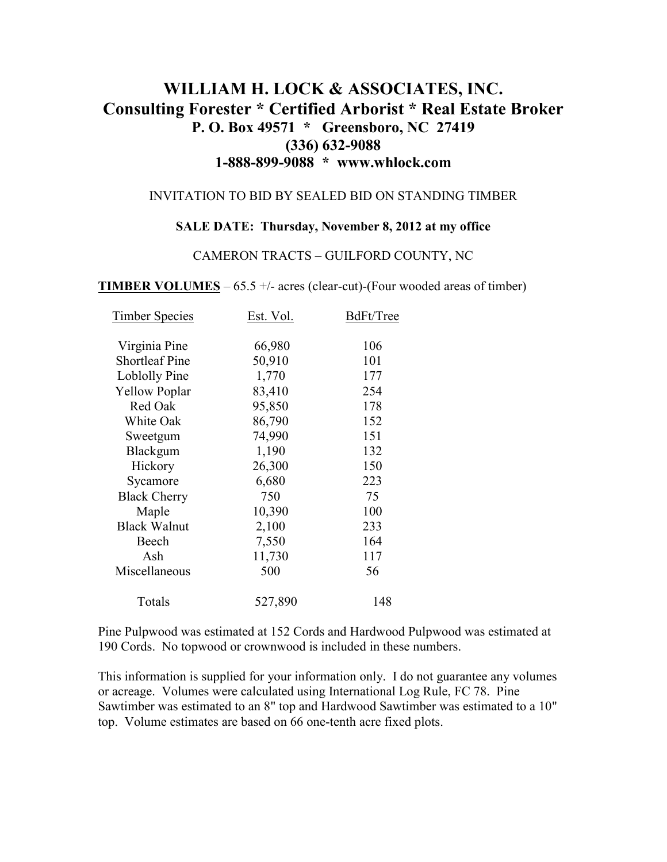# **WILLIAM H. LOCK & ASSOCIATES, INC. Consulting Forester \* Certified Arborist \* Real Estate Broker P. O. Box 49571 \* Greensboro, NC 27419 (336) 632-9088 1-888-899-9088 \* www.whlock.com**

### INVITATION TO BID BY SEALED BID ON STANDING TIMBER

#### **SALE DATE: Thursday, November 8, 2012 at my office**

### CAMERON TRACTS – GUILFORD COUNTY, NC

**TIMBER VOLUMES** – 65.5 +/- acres (clear-cut)-(Four wooded areas of timber)

| <b>Timber Species</b> | Est. Vol. | BdFt/Tree |
|-----------------------|-----------|-----------|
|                       |           |           |
| Virginia Pine         | 66,980    | 106       |
| <b>Shortleaf Pine</b> | 50,910    | 101       |
| <b>Loblolly Pine</b>  | 1,770     | 177       |
| <b>Yellow Poplar</b>  | 83,410    | 254       |
| Red Oak               | 95,850    | 178       |
| White Oak             | 86,790    | 152       |
| Sweetgum              | 74,990    | 151       |
| Blackgum              | 1,190     | 132       |
| Hickory               | 26,300    | 150       |
| Sycamore              | 6,680     | 223       |
| <b>Black Cherry</b>   | 750       | 75        |
| Maple                 | 10,390    | 100       |
| <b>Black Walnut</b>   | 2,100     | 233       |
| Beech                 | 7,550     | 164       |
| Ash                   | 11,730    | 117       |
| Miscellaneous         | 500       | 56        |
| Totals                | 527,890   | 148       |

Pine Pulpwood was estimated at 152 Cords and Hardwood Pulpwood was estimated at 190 Cords. No topwood or crownwood is included in these numbers.

This information is supplied for your information only. I do not guarantee any volumes or acreage. Volumes were calculated using International Log Rule, FC 78. Pine Sawtimber was estimated to an 8" top and Hardwood Sawtimber was estimated to a 10" top. Volume estimates are based on 66 one-tenth acre fixed plots.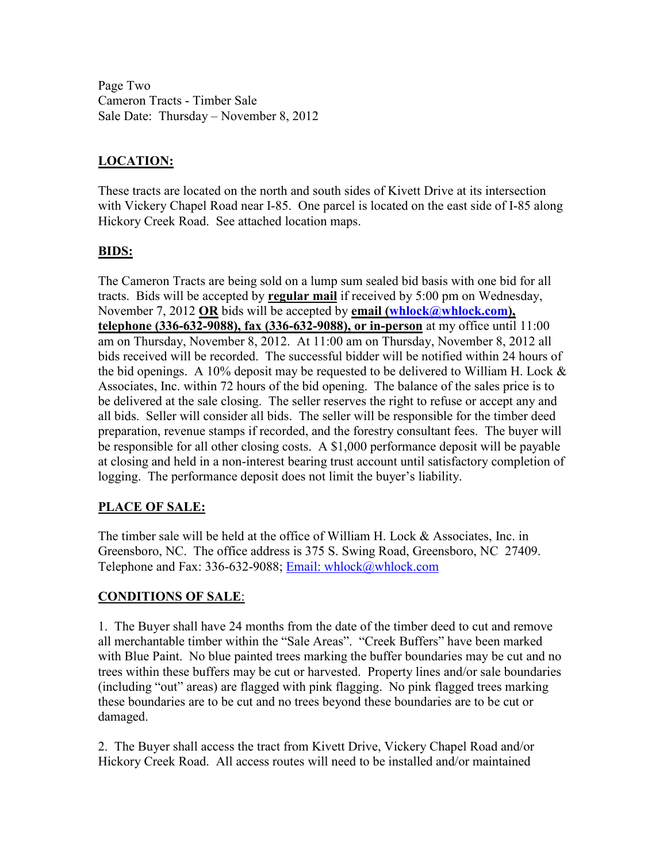Page Two Cameron Tracts - Timber Sale Sale Date: Thursday – November 8, 2012

## **LOCATION:**

These tracts are located on the north and south sides of Kivett Drive at its intersection with Vickery Chapel Road near I-85. One parcel is located on the east side of I-85 along Hickory Creek Road. See attached location maps.

## **BIDS:**

The Cameron Tracts are being sold on a lump sum sealed bid basis with one bid for all tracts. Bids will be accepted by **regular mail** if received by 5:00 pm on Wednesday, November 7, 2012 **OR** bids will be accepted by **email** (whlock@whlock.com), **telephone (336-632-9088), fax (336-632-9088), or in-person** at my office until 11:00 am on Thursday, November 8, 2012. At 11:00 am on Thursday, November 8, 2012 all bids received will be recorded. The successful bidder will be notified within 24 hours of the bid openings. A 10% deposit may be requested to be delivered to William H. Lock  $\&$ Associates, Inc. within 72 hours of the bid opening. The balance of the sales price is to be delivered at the sale closing. The seller reserves the right to refuse or accept any and all bids. Seller will consider all bids. The seller will be responsible for the timber deed preparation, revenue stamps if recorded, and the forestry consultant fees. The buyer will be responsible for all other closing costs. A \$1,000 performance deposit will be payable at closing and held in a non-interest bearing trust account until satisfactory completion of logging. The performance deposit does not limit the buyer's liability.

## **PLACE OF SALE:**

The timber sale will be held at the office of William H. Lock & Associates, Inc. in Greensboro, NC. The office address is 375 S. Swing Road, Greensboro, NC 27409. Telephone and Fax: 336-632-9088; Email: whlock@whlock.com

### **CONDITIONS OF SALE**:

1. The Buyer shall have 24 months from the date of the timber deed to cut and remove all merchantable timber within the "Sale Areas". "Creek Buffers" have been marked with Blue Paint. No blue painted trees marking the buffer boundaries may be cut and no trees within these buffers may be cut or harvested. Property lines and/or sale boundaries (including "out" areas) are flagged with pink flagging. No pink flagged trees marking these boundaries are to be cut and no trees beyond these boundaries are to be cut or damaged.

2. The Buyer shall access the tract from Kivett Drive, Vickery Chapel Road and/or Hickory Creek Road. All access routes will need to be installed and/or maintained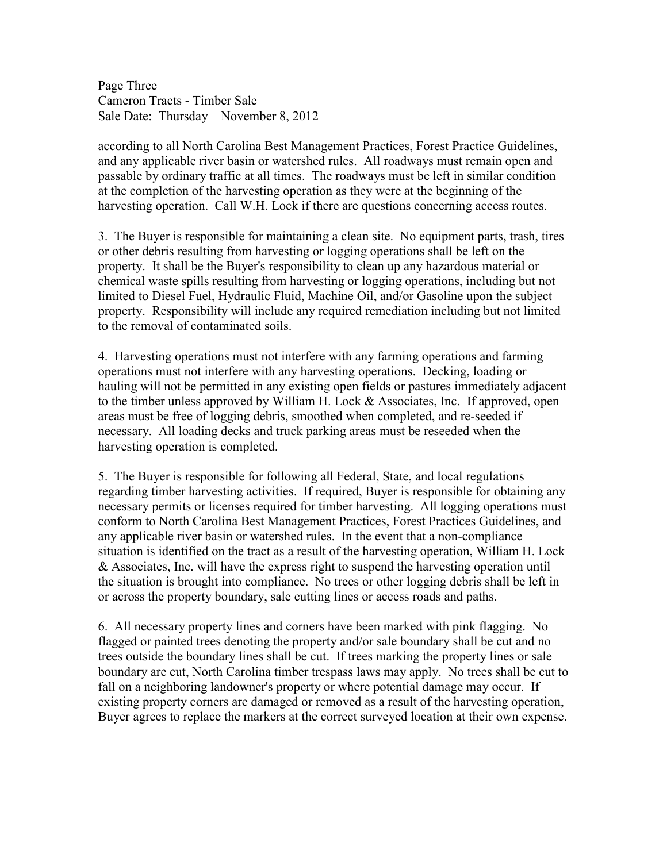Page Three Cameron Tracts - Timber Sale Sale Date: Thursday – November 8, 2012

according to all North Carolina Best Management Practices, Forest Practice Guidelines, and any applicable river basin or watershed rules. All roadways must remain open and passable by ordinary traffic at all times. The roadways must be left in similar condition at the completion of the harvesting operation as they were at the beginning of the harvesting operation. Call W.H. Lock if there are questions concerning access routes.

3. The Buyer is responsible for maintaining a clean site. No equipment parts, trash, tires or other debris resulting from harvesting or logging operations shall be left on the property. It shall be the Buyer's responsibility to clean up any hazardous material or chemical waste spills resulting from harvesting or logging operations, including but not limited to Diesel Fuel, Hydraulic Fluid, Machine Oil, and/or Gasoline upon the subject property. Responsibility will include any required remediation including but not limited to the removal of contaminated soils.

4. Harvesting operations must not interfere with any farming operations and farming operations must not interfere with any harvesting operations. Decking, loading or hauling will not be permitted in any existing open fields or pastures immediately adjacent to the timber unless approved by William H. Lock & Associates, Inc. If approved, open areas must be free of logging debris, smoothed when completed, and re-seeded if necessary. All loading decks and truck parking areas must be reseeded when the harvesting operation is completed.

5. The Buyer is responsible for following all Federal, State, and local regulations regarding timber harvesting activities. If required, Buyer is responsible for obtaining any necessary permits or licenses required for timber harvesting. All logging operations must conform to North Carolina Best Management Practices, Forest Practices Guidelines, and any applicable river basin or watershed rules. In the event that a non-compliance situation is identified on the tract as a result of the harvesting operation, William H. Lock & Associates, Inc. will have the express right to suspend the harvesting operation until the situation is brought into compliance. No trees or other logging debris shall be left in or across the property boundary, sale cutting lines or access roads and paths.

6. All necessary property lines and corners have been marked with pink flagging. No flagged or painted trees denoting the property and/or sale boundary shall be cut and no trees outside the boundary lines shall be cut. If trees marking the property lines or sale boundary are cut, North Carolina timber trespass laws may apply. No trees shall be cut to fall on a neighboring landowner's property or where potential damage may occur. If existing property corners are damaged or removed as a result of the harvesting operation, Buyer agrees to replace the markers at the correct surveyed location at their own expense.